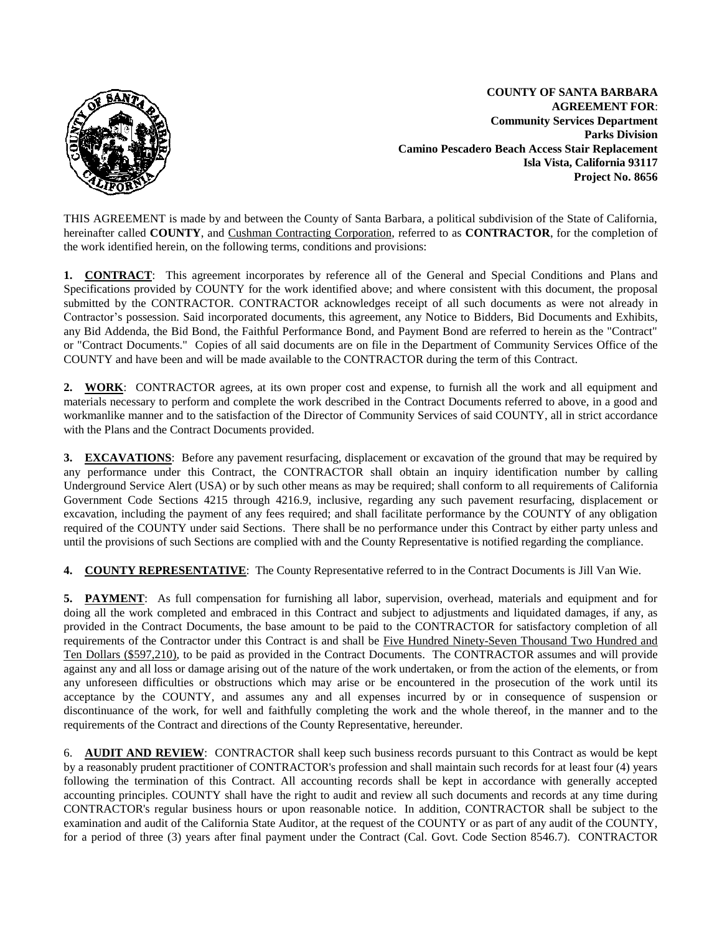

 **COUNTY OF SANTA BARBARA AGREEMENT FOR**:  **Community Services Department Parks Division Camino Pescadero Beach Access Stair Replacement Isla Vista, California 93117 Project No. 8656**

THIS AGREEMENT is made by and between the County of Santa Barbara, a political subdivision of the State of California, hereinafter called **COUNTY**, and Cushman Contracting Corporation, referred to as **CONTRACTOR**, for the completion of the work identified herein, on the following terms, conditions and provisions:

**1. CONTRACT**: This agreement incorporates by reference all of the General and Special Conditions and Plans and Specifications provided by COUNTY for the work identified above; and where consistent with this document, the proposal submitted by the CONTRACTOR. CONTRACTOR acknowledges receipt of all such documents as were not already in Contractor's possession. Said incorporated documents, this agreement, any Notice to Bidders, Bid Documents and Exhibits, any Bid Addenda, the Bid Bond, the Faithful Performance Bond, and Payment Bond are referred to herein as the "Contract" or "Contract Documents." Copies of all said documents are on file in the Department of Community Services Office of the COUNTY and have been and will be made available to the CONTRACTOR during the term of this Contract.

**2. WORK**: CONTRACTOR agrees, at its own proper cost and expense, to furnish all the work and all equipment and materials necessary to perform and complete the work described in the Contract Documents referred to above, in a good and workmanlike manner and to the satisfaction of the Director of Community Services of said COUNTY, all in strict accordance with the Plans and the Contract Documents provided.

**3. EXCAVATIONS**: Before any pavement resurfacing, displacement or excavation of the ground that may be required by any performance under this Contract, the CONTRACTOR shall obtain an inquiry identification number by calling Underground Service Alert (USA) or by such other means as may be required; shall conform to all requirements of California Government Code Sections 4215 through 4216.9, inclusive, regarding any such pavement resurfacing, displacement or excavation, including the payment of any fees required; and shall facilitate performance by the COUNTY of any obligation required of the COUNTY under said Sections. There shall be no performance under this Contract by either party unless and until the provisions of such Sections are complied with and the County Representative is notified regarding the compliance.

**4. COUNTY REPRESENTATIVE**: The County Representative referred to in the Contract Documents is Jill Van Wie.

**5. PAYMENT**: As full compensation for furnishing all labor, supervision, overhead, materials and equipment and for doing all the work completed and embraced in this Contract and subject to adjustments and liquidated damages, if any, as provided in the Contract Documents, the base amount to be paid to the CONTRACTOR for satisfactory completion of all requirements of the Contractor under this Contract is and shall be Five Hundred Ninety-Seven Thousand Two Hundred and Ten Dollars (\$597,210), to be paid as provided in the Contract Documents. The CONTRACTOR assumes and will provide against any and all loss or damage arising out of the nature of the work undertaken, or from the action of the elements, or from any unforeseen difficulties or obstructions which may arise or be encountered in the prosecution of the work until its acceptance by the COUNTY, and assumes any and all expenses incurred by or in consequence of suspension or discontinuance of the work, for well and faithfully completing the work and the whole thereof, in the manner and to the requirements of the Contract and directions of the County Representative, hereunder.

6. **AUDIT AND REVIEW**: CONTRACTOR shall keep such business records pursuant to this Contract as would be kept by a reasonably prudent practitioner of CONTRACTOR's profession and shall maintain such records for at least four (4) years following the termination of this Contract. All accounting records shall be kept in accordance with generally accepted accounting principles. COUNTY shall have the right to audit and review all such documents and records at any time during CONTRACTOR's regular business hours or upon reasonable notice. In addition, CONTRACTOR shall be subject to the examination and audit of the California State Auditor, at the request of the COUNTY or as part of any audit of the COUNTY, for a period of three (3) years after final payment under the Contract (Cal. Govt. Code Section 8546.7). CONTRACTOR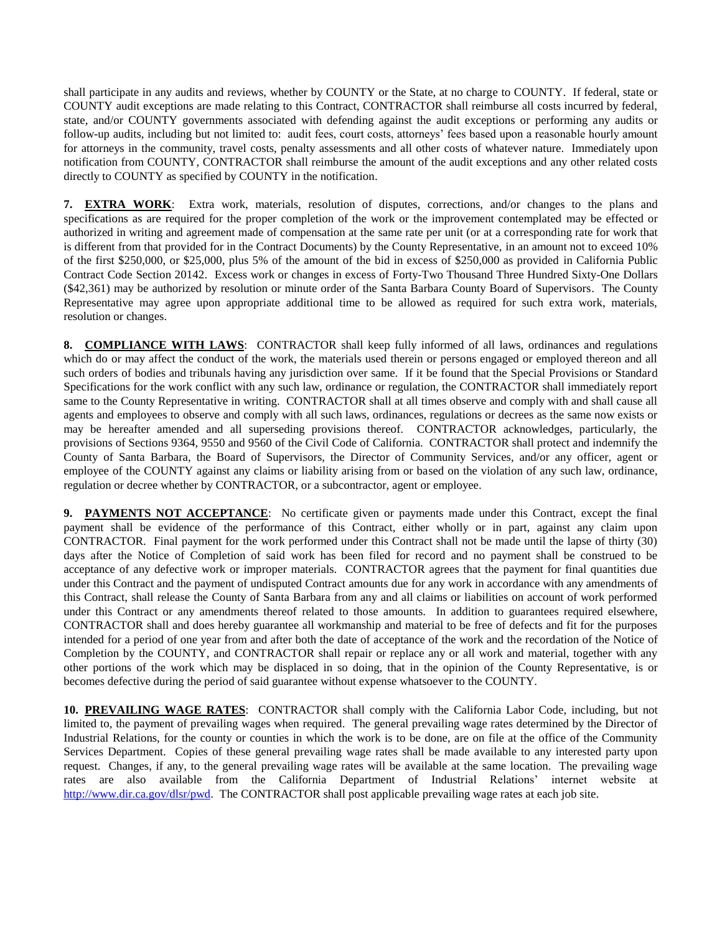shall participate in any audits and reviews, whether by COUNTY or the State, at no charge to COUNTY. If federal, state or COUNTY audit exceptions are made relating to this Contract, CONTRACTOR shall reimburse all costs incurred by federal, state, and/or COUNTY governments associated with defending against the audit exceptions or performing any audits or follow-up audits, including but not limited to: audit fees, court costs, attorneys' fees based upon a reasonable hourly amount for attorneys in the community, travel costs, penalty assessments and all other costs of whatever nature. Immediately upon notification from COUNTY, CONTRACTOR shall reimburse the amount of the audit exceptions and any other related costs directly to COUNTY as specified by COUNTY in the notification.

**7. EXTRA WORK**: Extra work, materials, resolution of disputes, corrections, and/or changes to the plans and specifications as are required for the proper completion of the work or the improvement contemplated may be effected or authorized in writing and agreement made of compensation at the same rate per unit (or at a corresponding rate for work that is different from that provided for in the Contract Documents) by the County Representative, in an amount not to exceed 10% of the first \$250,000, or \$25,000, plus 5% of the amount of the bid in excess of \$250,000 as provided in California Public Contract Code Section 20142. Excess work or changes in excess of Forty-Two Thousand Three Hundred Sixty-One Dollars (\$42,361) may be authorized by resolution or minute order of the Santa Barbara County Board of Supervisors. The County Representative may agree upon appropriate additional time to be allowed as required for such extra work, materials, resolution or changes.

**8. COMPLIANCE WITH LAWS**: CONTRACTOR shall keep fully informed of all laws, ordinances and regulations which do or may affect the conduct of the work, the materials used therein or persons engaged or employed thereon and all such orders of bodies and tribunals having any jurisdiction over same. If it be found that the Special Provisions or Standard Specifications for the work conflict with any such law, ordinance or regulation, the CONTRACTOR shall immediately report same to the County Representative in writing. CONTRACTOR shall at all times observe and comply with and shall cause all agents and employees to observe and comply with all such laws, ordinances, regulations or decrees as the same now exists or may be hereafter amended and all superseding provisions thereof. CONTRACTOR acknowledges, particularly, the provisions of Sections 9364, 9550 and 9560 of the Civil Code of California. CONTRACTOR shall protect and indemnify the County of Santa Barbara, the Board of Supervisors, the Director of Community Services, and/or any officer, agent or employee of the COUNTY against any claims or liability arising from or based on the violation of any such law, ordinance, regulation or decree whether by CONTRACTOR, or a subcontractor, agent or employee.

**9. PAYMENTS NOT ACCEPTANCE**: No certificate given or payments made under this Contract, except the final payment shall be evidence of the performance of this Contract, either wholly or in part, against any claim upon CONTRACTOR. Final payment for the work performed under this Contract shall not be made until the lapse of thirty (30) days after the Notice of Completion of said work has been filed for record and no payment shall be construed to be acceptance of any defective work or improper materials. CONTRACTOR agrees that the payment for final quantities due under this Contract and the payment of undisputed Contract amounts due for any work in accordance with any amendments of this Contract, shall release the County of Santa Barbara from any and all claims or liabilities on account of work performed under this Contract or any amendments thereof related to those amounts. In addition to guarantees required elsewhere, CONTRACTOR shall and does hereby guarantee all workmanship and material to be free of defects and fit for the purposes intended for a period of one year from and after both the date of acceptance of the work and the recordation of the Notice of Completion by the COUNTY, and CONTRACTOR shall repair or replace any or all work and material, together with any other portions of the work which may be displaced in so doing, that in the opinion of the County Representative, is or becomes defective during the period of said guarantee without expense whatsoever to the COUNTY.

**10. PREVAILING WAGE RATES**: CONTRACTOR shall comply with the California Labor Code, including, but not limited to, the payment of prevailing wages when required. The general prevailing wage rates determined by the Director of Industrial Relations, for the county or counties in which the work is to be done, are on file at the office of the Community Services Department. Copies of these general prevailing wage rates shall be made available to any interested party upon request. Changes, if any, to the general prevailing wage rates will be available at the same location. The prevailing wage rates are also available from the California Department of Industrial Relations' internet website at [http://www.dir.ca.gov/dlsr/pwd.](http://www.dir.ca.gov/dlsr/pwd) The CONTRACTOR shall post applicable prevailing wage rates at each job site.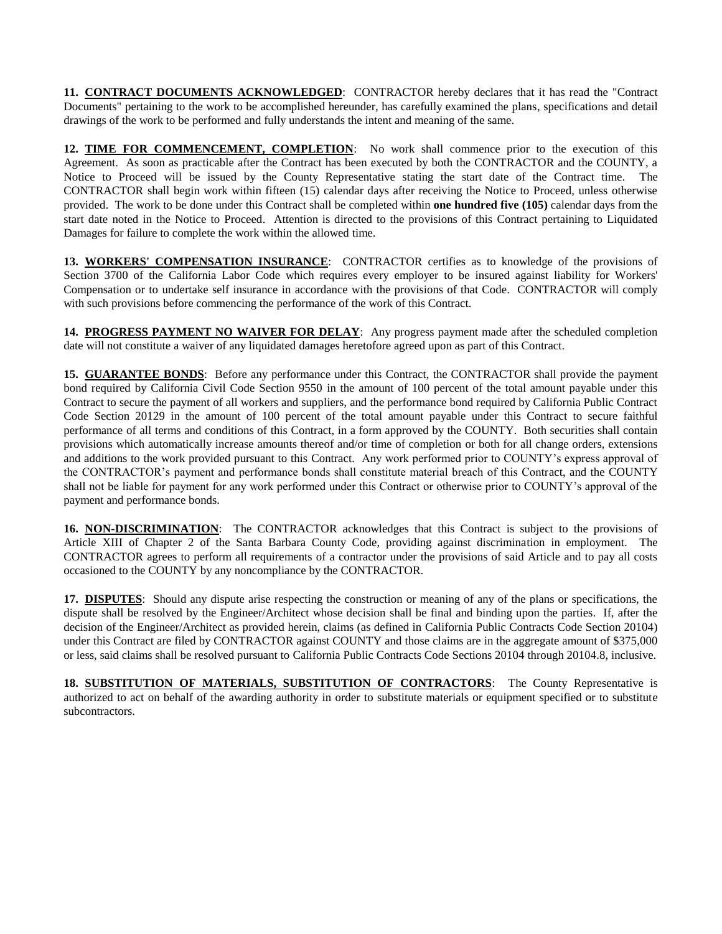**11. CONTRACT DOCUMENTS ACKNOWLEDGED**: CONTRACTOR hereby declares that it has read the "Contract Documents" pertaining to the work to be accomplished hereunder, has carefully examined the plans, specifications and detail drawings of the work to be performed and fully understands the intent and meaning of the same.

**12. TIME FOR COMMENCEMENT, COMPLETION**: No work shall commence prior to the execution of this Agreement. As soon as practicable after the Contract has been executed by both the CONTRACTOR and the COUNTY, a Notice to Proceed will be issued by the County Representative stating the start date of the Contract time. The CONTRACTOR shall begin work within fifteen (15) calendar days after receiving the Notice to Proceed, unless otherwise provided. The work to be done under this Contract shall be completed within **one hundred five (105)** calendar days from the start date noted in the Notice to Proceed. Attention is directed to the provisions of this Contract pertaining to Liquidated Damages for failure to complete the work within the allowed time.

**13. WORKERS' COMPENSATION INSURANCE**: CONTRACTOR certifies as to knowledge of the provisions of Section 3700 of the California Labor Code which requires every employer to be insured against liability for Workers' Compensation or to undertake self insurance in accordance with the provisions of that Code. CONTRACTOR will comply with such provisions before commencing the performance of the work of this Contract.

**14. PROGRESS PAYMENT NO WAIVER FOR DELAY**: Any progress payment made after the scheduled completion date will not constitute a waiver of any liquidated damages heretofore agreed upon as part of this Contract.

**15. GUARANTEE BONDS**: Before any performance under this Contract, the CONTRACTOR shall provide the payment bond required by California Civil Code Section 9550 in the amount of 100 percent of the total amount payable under this Contract to secure the payment of all workers and suppliers, and the performance bond required by California Public Contract Code Section 20129 in the amount of 100 percent of the total amount payable under this Contract to secure faithful performance of all terms and conditions of this Contract, in a form approved by the COUNTY. Both securities shall contain provisions which automatically increase amounts thereof and/or time of completion or both for all change orders, extensions and additions to the work provided pursuant to this Contract. Any work performed prior to COUNTY's express approval of the CONTRACTOR's payment and performance bonds shall constitute material breach of this Contract, and the COUNTY shall not be liable for payment for any work performed under this Contract or otherwise prior to COUNTY's approval of the payment and performance bonds.

**16. NON-DISCRIMINATION**: The CONTRACTOR acknowledges that this Contract is subject to the provisions of Article XIII of Chapter 2 of the Santa Barbara County Code, providing against discrimination in employment. The CONTRACTOR agrees to perform all requirements of a contractor under the provisions of said Article and to pay all costs occasioned to the COUNTY by any noncompliance by the CONTRACTOR.

**17. DISPUTES**: Should any dispute arise respecting the construction or meaning of any of the plans or specifications, the dispute shall be resolved by the Engineer/Architect whose decision shall be final and binding upon the parties. If, after the decision of the Engineer/Architect as provided herein, claims (as defined in California Public Contracts Code Section 20104) under this Contract are filed by CONTRACTOR against COUNTY and those claims are in the aggregate amount of \$375,000 or less, said claims shall be resolved pursuant to California Public Contracts Code Sections 20104 through 20104.8, inclusive.

18. **SUBSTITUTION OF MATERIALS, SUBSTITUTION OF CONTRACTORS:** The County Representative is authorized to act on behalf of the awarding authority in order to substitute materials or equipment specified or to substitute subcontractors.